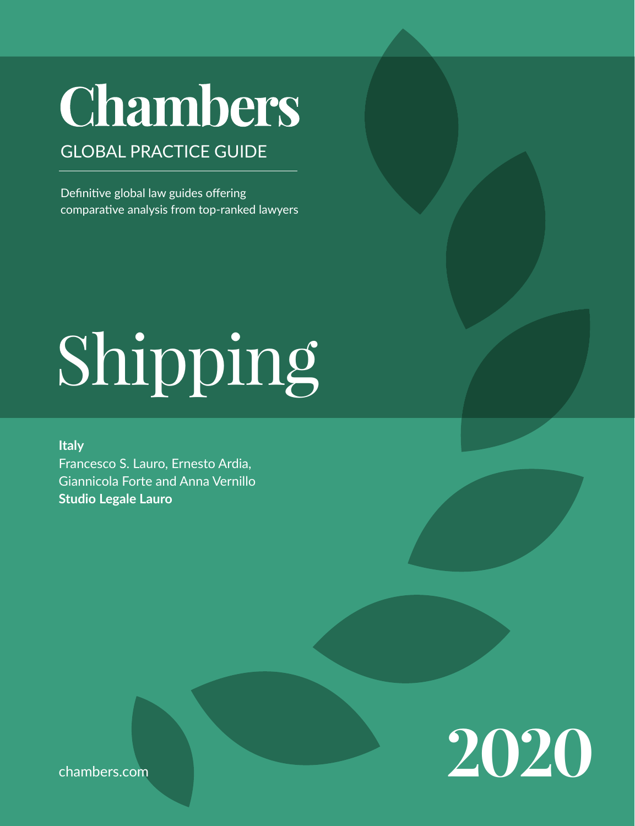# **Chambers**

# GLOBAL PRACTICE GUIDE

Definitive global law guides offering comparative analysis from top-ranked lawyers

# Shipping

#### **Italy**

Francesco S. Lauro, Ernesto Ardia, Giannicola Forte and Anna Vernillo **Studio Legale Lauro**



chambers.com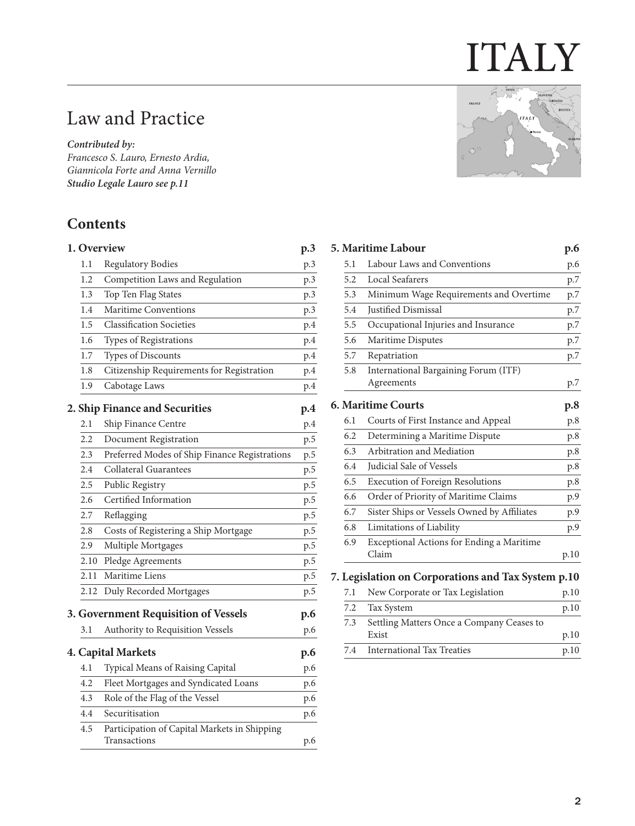# ITALY

# Law and Practice

*Contributed by:*

*Francesco S. Lauro, Ernesto Ardia, Giannicola Forte and Anna Vernillo Studio Legale Laur[o see p.11](#page-10-0)*

# **Contents**

| 1. Overview |                                           |     |
|-------------|-------------------------------------------|-----|
| 1.1         | Regulatory Bodies                         | p.3 |
| 1.2         | Competition Laws and Regulation           | p.3 |
| 1.3         | Top Ten Flag States                       | p.3 |
| 1.4         | Maritime Conventions                      | p.3 |
| 1.5         | <b>Classification Societies</b>           | p.4 |
| 1.6         | Types of Registrations                    | p.4 |
| 1.7         | <b>Types of Discounts</b>                 | p.4 |
| 1.8         | Citizenship Requirements for Registration | p.4 |
| 1.9         | Cabotage Laws                             | p.4 |
|             |                                           |     |

#### **[2. Ship Finance and Securities](#page-3-0) p.4**

| 2.1     | Ship Finance Centre                                          | p.4 |
|---------|--------------------------------------------------------------|-----|
| $2.2\,$ | Document Registration                                        | p.5 |
| 2.3     | Preferred Modes of Ship Finance Registrations                | p.5 |
| 2.4     | Collateral Guarantees                                        | p.5 |
| 2.5     | Public Registry                                              | p.5 |
| 2.6     | Certified Information                                        | p.5 |
| 2.7     | Reflagging                                                   | p.5 |
| 2.8     | Costs of Registering a Ship Mortgage                         | p.5 |
| 2.9     | Multiple Mortgages                                           | p.5 |
| 2.10    | Pledge Agreements                                            | p.5 |
| 2.11    | Maritime Liens                                               | p.5 |
| 2.12    | Duly Recorded Mortgages                                      | p.5 |
|         | 3. Government Requisition of Vessels                         | p.6 |
| 3.1     | Authority to Requisition Vessels                             | p.6 |
|         | 4. Capital Markets                                           | p.6 |
| 4.1     | Typical Means of Raising Capital                             | p.6 |
| 4.2     | Fleet Mortgages and Syndicated Loans                         | p.6 |
| 4.3     | Role of the Flag of the Vessel                               | p.6 |
| 4.4     | Securitisation                                               | p.6 |
| 4.5     | Participation of Capital Markets in Shipping<br>Transactions | p.6 |
|         |                                                              |     |



|     | <b>5. Maritime Labour</b>                          | p.6  |
|-----|----------------------------------------------------|------|
| 5.1 | Labour Laws and Conventions                        | p.6  |
| 5.2 | Local Seafarers                                    | p.7  |
| 5.3 | Minimum Wage Requirements and Overtime             | p.7  |
| 5.4 | Justified Dismissal                                | p.7  |
| 5.5 | Occupational Injuries and Insurance                | p.7  |
| 5.6 | Maritime Disputes                                  | p.7  |
| 5.7 | Repatriation                                       | p.7  |
| 5.8 | International Bargaining Forum (ITF)               |      |
|     | Agreements                                         | p.7  |
|     | <b>6. Maritime Courts</b>                          | p.8  |
| 6.1 | Courts of First Instance and Appeal                | p.8  |
| 6.2 | Determining a Maritime Dispute                     | p.8  |
| 6.3 | Arbitration and Mediation                          | p.8  |
| 6.4 | <b>Iudicial Sale of Vessels</b>                    | p.8  |
| 6.5 | <b>Execution of Foreign Resolutions</b>            | p.8  |
| 6.6 | Order of Priority of Maritime Claims               | p.9  |
| 6.7 | Sister Ships or Vessels Owned by Affiliates        | p.9  |
| 6.8 | Limitations of Liability                           | p.9  |
| 6.9 | Exceptional Actions for Ending a Maritime<br>Claim | p.10 |
|     | $\sqrt{2}$<br>$1 - 0$<br>$\sim$ $\bullet$          |      |

#### **[7. Legislation on Corporations and Tax System](#page-9-0) p.10**

| 7.1 New Corporate or Tax Legislation          | p.10 |
|-----------------------------------------------|------|
| 7.2 Tax System                                | p.10 |
| 7.3 Settling Matters Once a Company Ceases to |      |
| Exist                                         | p.10 |
| 7.4 International Tax Treaties                | p.10 |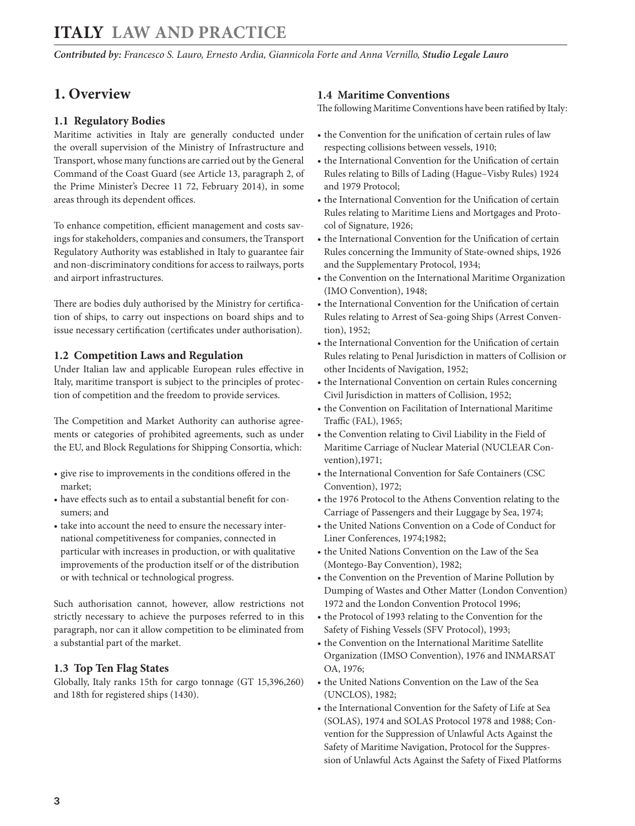<span id="page-2-0"></span>*Contributed by: Francesco S. Lauro, Ernesto Ardia, Giannicola Forte and Anna Vernillo, Studio Legale Lauro* 

#### **1. Overview**

#### **1.1 Regulatory Bodies**

Maritime activities in Italy are generally conducted under the overall supervision of the Ministry of Infrastructure and Transport, whose many functions are carried out by the General Command of the Coast Guard (see Article 13, paragraph 2, of the Prime Minister's Decree 11 72, February 2014), in some areas through its dependent offices.

To enhance competition, efficient management and costs savings for stakeholders, companies and consumers, the Transport Regulatory Authority was established in Italy to guarantee fair and non-discriminatory conditions for access to railways, ports and airport infrastructures.

There are bodies duly authorised by the Ministry for certification of ships, to carry out inspections on board ships and to issue necessary certification (certificates under authorisation).

#### **1.2 Competition Laws and Regulation**

Under Italian law and applicable European rules effective in Italy, maritime transport is subject to the principles of protection of competition and the freedom to provide services.

The Competition and Market Authority can authorise agreements or categories of prohibited agreements, such as under the EU, and Block Regulations for Shipping Consortia, which:

- give rise to improvements in the conditions offered in the market;
- have effects such as to entail a substantial benefit for consumers; and
- take into account the need to ensure the necessary international competitiveness for companies, connected in particular with increases in production, or with qualitative improvements of the production itself or of the distribution or with technical or technological progress.

Such authorisation cannot, however, allow restrictions not strictly necessary to achieve the purposes referred to in this paragraph, nor can it allow competition to be eliminated from a substantial part of the market.

#### **1.3 Top Ten Flag States**

Globally, Italy ranks 15th for cargo tonnage (GT 15,396,260) and 18th for registered ships (1430).

#### **1.4 Maritime Conventions**

The following Maritime Conventions have been ratified by Italy:

- the Convention for the unification of certain rules of law respecting collisions between vessels, 1910;
- the International Convention for the Unification of certain Rules relating to Bills of Lading (Hague–Visby Rules) 1924 and 1979 Protocol;
- the International Convention for the Unification of certain Rules relating to Maritime Liens and Mortgages and Protocol of Signature, 1926;
- the International Convention for the Unification of certain Rules concerning the Immunity of State-owned ships, 1926 and the Supplementary Protocol, 1934;
- the Convention on the International Maritime Organization (IMO Convention), 1948;
- the International Convention for the Unification of certain Rules relating to Arrest of Sea-going Ships (Arrest Convention), 1952;
- the International Convention for the Unification of certain Rules relating to Penal Jurisdiction in matters of Collision or other Incidents of Navigation, 1952;
- the International Convention on certain Rules concerning Civil Jurisdiction in matters of Collision, 1952;
- the Convention on Facilitation of International Maritime Traffic (FAL), 1965;
- the Convention relating to Civil Liability in the Field of Maritime Carriage of Nuclear Material (NUCLEAR Convention),1971;
- the International Convention for Safe Containers (CSC Convention), 1972;
- the 1976 Protocol to the Athens Convention relating to the Carriage of Passengers and their Luggage by Sea, 1974;
- the United Nations Convention on a Code of Conduct for Liner Conferences, 1974;1982;
- the United Nations Convention on the Law of the Sea (Montego-Bay Convention), 1982;
- the Convention on the Prevention of Marine Pollution by Dumping of Wastes and Other Matter (London Convention) 1972 and the London Convention Protocol 1996;
- the Protocol of 1993 relating to the Convention for the Safety of Fishing Vessels (SFV Protocol), 1993;
- the Convention on the International Maritime Satellite Organization (IMSO Convention), 1976 and INMARSAT OA, 1976;
- the United Nations Convention on the Law of the Sea (UNCLOS), 1982;
- the International Convention for the Safety of Life at Sea (SOLAS), 1974 and SOLAS Protocol 1978 and 1988; Convention for the Suppression of Unlawful Acts Against the Safety of Maritime Navigation, Protocol for the Suppression of Unlawful Acts Against the Safety of Fixed Platforms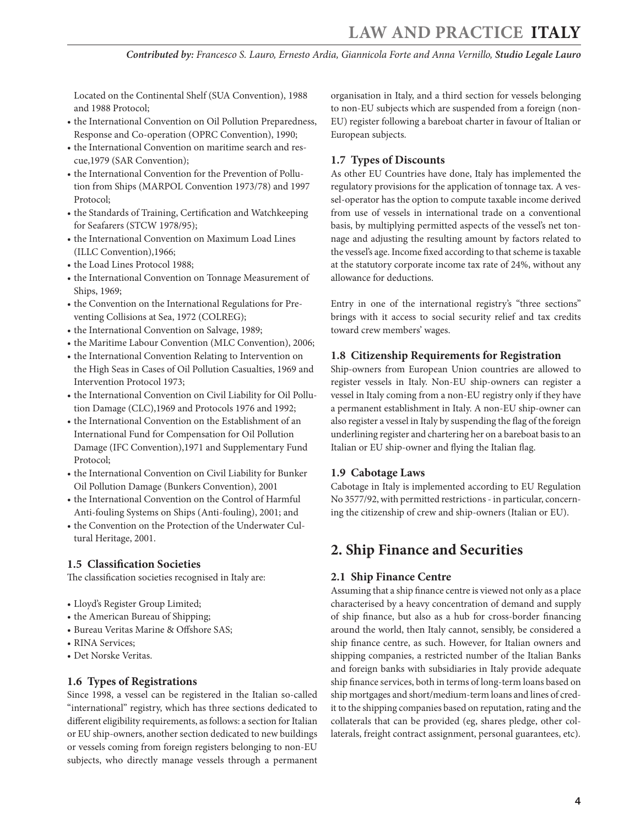<span id="page-3-0"></span>Located on the Continental Shelf (SUA Convention), 1988 and 1988 Protocol;

- the International Convention on Oil Pollution Preparedness, Response and Co-operation (OPRC Convention), 1990;
- the International Convention on maritime search and rescue,1979 (SAR Convention);
- the International Convention for the Prevention of Pollution from Ships (MARPOL Convention 1973/78) and 1997 Protocol;
- the Standards of Training, Certification and Watchkeeping for Seafarers (STCW 1978/95);
- the International Convention on Maximum Load Lines (ILLC Convention),1966;
- the Load Lines Protocol 1988;
- the International Convention on Tonnage Measurement of Ships, 1969;
- the Convention on the International Regulations for Preventing Collisions at Sea, 1972 (COLREG);
- the International Convention on Salvage, 1989;
- the Maritime Labour Convention (MLC Convention), 2006;
- the International Convention Relating to Intervention on the High Seas in Cases of Oil Pollution Casualties, 1969 and Intervention Protocol 1973;
- the International Convention on Civil Liability for Oil Pollution Damage (CLC),1969 and Protocols 1976 and 1992;
- the International Convention on the Establishment of an International Fund for Compensation for Oil Pollution Damage (IFC Convention),1971 and Supplementary Fund Protocol;
- the International Convention on Civil Liability for Bunker Oil Pollution Damage (Bunkers Convention), 2001
- the International Convention on the Control of Harmful Anti-fouling Systems on Ships (Anti-fouling), 2001; and
- the Convention on the Protection of the Underwater Cultural Heritage, 2001.

#### **1.5 Classification Societies**

The classification societies recognised in Italy are:

- Lloyd's Register Group Limited;
- the American Bureau of Shipping;
- Bureau Veritas Marine & Offshore SAS;
- RINA Services;
- Det Norske Veritas.

#### **1.6 Types of Registrations**

Since 1998, a vessel can be registered in the Italian so-called "international" registry, which has three sections dedicated to different eligibility requirements, as follows: a section for Italian or EU ship-owners, another section dedicated to new buildings or vessels coming from foreign registers belonging to non-EU subjects, who directly manage vessels through a permanent organisation in Italy, and a third section for vessels belonging to non-EU subjects which are suspended from a foreign (non-EU) register following a bareboat charter in favour of Italian or European subjects.

#### **1.7 Types of Discounts**

As other EU Countries have done, Italy has implemented the regulatory provisions for the application of tonnage tax. A vessel-operator has the option to compute taxable income derived from use of vessels in international trade on a conventional basis, by multiplying permitted aspects of the vessel's net tonnage and adjusting the resulting amount by factors related to the vessel's age. Income fixed according to that scheme is taxable at the statutory corporate income tax rate of 24%, without any allowance for deductions.

Entry in one of the international registry's "three sections" brings with it access to social security relief and tax credits toward crew members' wages.

#### **1.8 Citizenship Requirements for Registration**

Ship-owners from European Union countries are allowed to register vessels in Italy. Non-EU ship-owners can register a vessel in Italy coming from a non-EU registry only if they have a permanent establishment in Italy. A non-EU ship-owner can also register a vessel in Italy by suspending the flag of the foreign underlining register and chartering her on a bareboat basis to an Italian or EU ship-owner and flying the Italian flag.

#### **1.9 Cabotage Laws**

Cabotage in Italy is implemented according to EU Regulation No 3577/92, with permitted restrictions - in particular, concerning the citizenship of crew and ship-owners (Italian or EU).

#### **2. Ship Finance and Securities**

#### **2.1 Ship Finance Centre**

Assuming that a ship finance centre is viewed not only as a place characterised by a heavy concentration of demand and supply of ship finance, but also as a hub for cross-border financing around the world, then Italy cannot, sensibly, be considered a ship finance centre, as such. However, for Italian owners and shipping companies, a restricted number of the Italian Banks and foreign banks with subsidiaries in Italy provide adequate ship finance services, both in terms of long-term loans based on ship mortgages and short/medium-term loans and lines of credit to the shipping companies based on reputation, rating and the collaterals that can be provided (eg, shares pledge, other collaterals, freight contract assignment, personal guarantees, etc).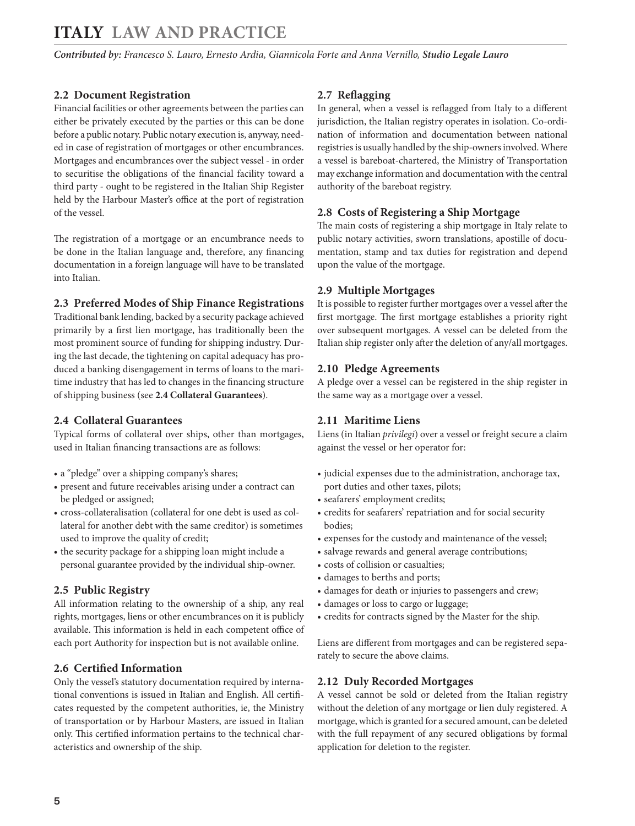<span id="page-4-0"></span>*Contributed by: Francesco S. Lauro, Ernesto Ardia, Giannicola Forte and Anna Vernillo, Studio Legale Lauro* 

#### **2.2 Document Registration**

Financial facilities or other agreements between the parties can either be privately executed by the parties or this can be done before a public notary. Public notary execution is, anyway, needed in case of registration of mortgages or other encumbrances. Mortgages and encumbrances over the subject vessel - in order to securitise the obligations of the financial facility toward a third party - ought to be registered in the Italian Ship Register held by the Harbour Master's office at the port of registration of the vessel.

The registration of a mortgage or an encumbrance needs to be done in the Italian language and, therefore, any financing documentation in a foreign language will have to be translated into Italian.

#### **2.3 Preferred Modes of Ship Finance Registrations**

Traditional bank lending, backed by a security package achieved primarily by a first lien mortgage, has traditionally been the most prominent source of funding for shipping industry. During the last decade, the tightening on capital adequacy has produced a banking disengagement in terms of loans to the maritime industry that has led to changes in the financing structure of shipping business (see **2.4 Collateral Guarantees**).

#### **2.4 Collateral Guarantees**

Typical forms of collateral over ships, other than mortgages, used in Italian financing transactions are as follows:

- a "pledge" over a shipping company's shares;
- present and future receivables arising under a contract can be pledged or assigned;
- cross-collateralisation (collateral for one debt is used as collateral for another debt with the same creditor) is sometimes used to improve the quality of credit;
- the security package for a shipping loan might include a personal guarantee provided by the individual ship-owner.

#### **2.5 Public Registry**

All information relating to the ownership of a ship, any real rights, mortgages, liens or other encumbrances on it is publicly available. This information is held in each competent office of each port Authority for inspection but is not available online.

#### **2.6 Certified Information**

Only the vessel's statutory documentation required by international conventions is issued in Italian and English. All certificates requested by the competent authorities, ie, the Ministry of transportation or by Harbour Masters, are issued in Italian only. This certified information pertains to the technical characteristics and ownership of the ship.

#### **2.7 Reflagging**

In general, when a vessel is reflagged from Italy to a different jurisdiction, the Italian registry operates in isolation. Co-ordination of information and documentation between national registries is usually handled by the ship-owners involved. Where a vessel is bareboat-chartered, the Ministry of Transportation may exchange information and documentation with the central authority of the bareboat registry.

#### **2.8 Costs of Registering a Ship Mortgage**

The main costs of registering a ship mortgage in Italy relate to public notary activities, sworn translations, apostille of documentation, stamp and tax duties for registration and depend upon the value of the mortgage.

#### **2.9 Multiple Mortgages**

It is possible to register further mortgages over a vessel after the first mortgage. The first mortgage establishes a priority right over subsequent mortgages. A vessel can be deleted from the Italian ship register only after the deletion of any/all mortgages.

#### **2.10 Pledge Agreements**

A pledge over a vessel can be registered in the ship register in the same way as a mortgage over a vessel.

#### **2.11 Maritime Liens**

Liens (in Italian *privilegi*) over a vessel or freight secure a claim against the vessel or her operator for:

- judicial expenses due to the administration, anchorage tax, port duties and other taxes, pilots;
- seafarers' employment credits;
- credits for seafarers' repatriation and for social security bodies;
- expenses for the custody and maintenance of the vessel;
- salvage rewards and general average contributions;
- costs of collision or casualties;
- damages to berths and ports;
- damages for death or injuries to passengers and crew;
- damages or loss to cargo or luggage;
- credits for contracts signed by the Master for the ship.

Liens are different from mortgages and can be registered separately to secure the above claims.

#### **2.12 Duly Recorded Mortgages**

A vessel cannot be sold or deleted from the Italian registry without the deletion of any mortgage or lien duly registered. A mortgage, which is granted for a secured amount, can be deleted with the full repayment of any secured obligations by formal application for deletion to the register.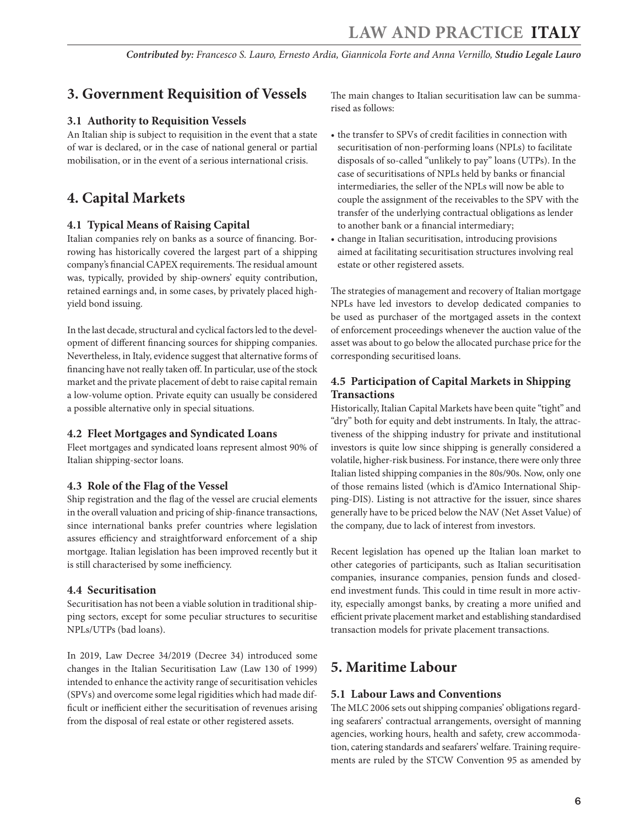# <span id="page-5-0"></span>**3. Government Requisition of Vessels**

#### **3.1 Authority to Requisition Vessels**

An Italian ship is subject to requisition in the event that a state of war is declared, or in the case of national general or partial mobilisation, or in the event of a serious international crisis.

## **4. Capital Markets**

#### **4.1 Typical Means of Raising Capital**

Italian companies rely on banks as a source of financing. Borrowing has historically covered the largest part of a shipping company's financial CAPEX requirements. The residual amount was, typically, provided by ship-owners' equity contribution, retained earnings and, in some cases, by privately placed highyield bond issuing.

In the last decade, structural and cyclical factors led to the development of different financing sources for shipping companies. Nevertheless, in Italy, evidence suggest that alternative forms of financing have not really taken off. In particular, use of the stock market and the private placement of debt to raise capital remain a low-volume option. Private equity can usually be considered a possible alternative only in special situations.

#### **4.2 Fleet Mortgages and Syndicated Loans**

Fleet mortgages and syndicated loans represent almost 90% of Italian shipping-sector loans.

#### **4.3 Role of the Flag of the Vessel**

Ship registration and the flag of the vessel are crucial elements in the overall valuation and pricing of ship-finance transactions, since international banks prefer countries where legislation assures efficiency and straightforward enforcement of a ship mortgage. Italian legislation has been improved recently but it is still characterised by some inefficiency.

#### **4.4 Securitisation**

Securitisation has not been a viable solution in traditional shipping sectors, except for some peculiar structures to securitise NPLs/UTPs (bad loans).

In 2019, Law Decree 34/2019 (Decree 34) introduced some changes in the Italian Securitisation Law (Law 130 of 1999) intended to enhance the activity range of securitisation vehicles (SPVs) and overcome some legal rigidities which had made difficult or inefficient either the securitisation of revenues arising from the disposal of real estate or other registered assets.

The main changes to Italian securitisation law can be summarised as follows:

- the transfer to SPVs of credit facilities in connection with securitisation of non-performing loans (NPLs) to facilitate disposals of so-called "unlikely to pay" loans (UTPs). In the case of securitisations of NPLs held by banks or financial intermediaries, the seller of the NPLs will now be able to couple the assignment of the receivables to the SPV with the transfer of the underlying contractual obligations as lender to another bank or a financial intermediary;
- change in Italian securitisation, introducing provisions aimed at facilitating securitisation structures involving real estate or other registered assets.

The strategies of management and recovery of Italian mortgage NPLs have led investors to develop dedicated companies to be used as purchaser of the mortgaged assets in the context of enforcement proceedings whenever the auction value of the asset was about to go below the allocated purchase price for the corresponding securitised loans.

#### **4.5 Participation of Capital Markets in Shipping Transactions**

Historically, Italian Capital Markets have been quite "tight" and "dry" both for equity and debt instruments. In Italy, the attractiveness of the shipping industry for private and institutional investors is quite low since shipping is generally considered a volatile, higher-risk business. For instance, there were only three Italian listed shipping companies in the 80s/90s. Now, only one of those remains listed (which is d'Amico International Shipping-DIS). Listing is not attractive for the issuer, since shares generally have to be priced below the NAV (Net Asset Value) of the company, due to lack of interest from investors.

Recent legislation has opened up the Italian loan market to other categories of participants, such as Italian securitisation companies, insurance companies, pension funds and closedend investment funds. This could in time result in more activity, especially amongst banks, by creating a more unified and efficient private placement market and establishing standardised transaction models for private placement transactions.

## **5. Maritime Labour**

#### **5.1 Labour Laws and Conventions**

The MLC 2006 sets out shipping companies' obligations regarding seafarers' contractual arrangements, oversight of manning agencies, working hours, health and safety, crew accommodation, catering standards and seafarers' welfare. Training requirements are ruled by the STCW Convention 95 as amended by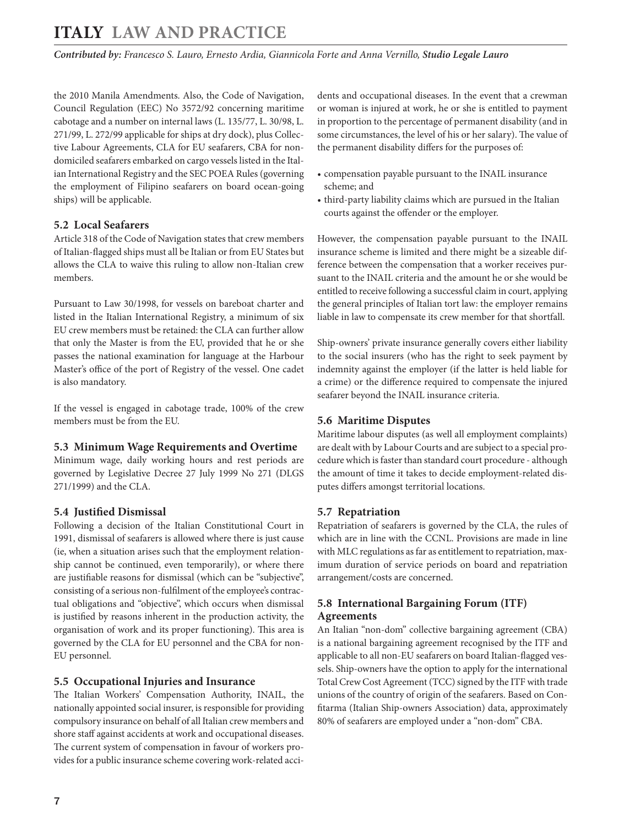<span id="page-6-0"></span>*Contributed by: Francesco S. Lauro, Ernesto Ardia, Giannicola Forte and Anna Vernillo, Studio Legale Lauro* 

the 2010 Manila Amendments. Also, the Code of Navigation, Council Regulation (EEC) No 3572/92 concerning maritime cabotage and a number on internal laws (L. 135/77, L. 30/98, L. 271/99, L. 272/99 applicable for ships at dry dock), plus Collective Labour Agreements, CLA for EU seafarers, CBA for nondomiciled seafarers embarked on cargo vessels listed in the Italian International Registry and the SEC POEA Rules (governing the employment of Filipino seafarers on board ocean-going ships) will be applicable.

#### **5.2 Local Seafarers**

Article 318 of the Code of Navigation states that crew members of Italian-flagged ships must all be Italian or from EU States but allows the CLA to waive this ruling to allow non-Italian crew members.

Pursuant to Law 30/1998, for vessels on bareboat charter and listed in the Italian International Registry, a minimum of six EU crew members must be retained: the CLA can further allow that only the Master is from the EU, provided that he or she passes the national examination for language at the Harbour Master's office of the port of Registry of the vessel. One cadet is also mandatory.

If the vessel is engaged in cabotage trade, 100% of the crew members must be from the EU.

#### **5.3 Minimum Wage Requirements and Overtime**

Minimum wage, daily working hours and rest periods are governed by Legislative Decree 27 July 1999 No 271 (DLGS 271/1999) and the CLA.

#### **5.4 Justified Dismissal**

Following a decision of the Italian Constitutional Court in 1991, dismissal of seafarers is allowed where there is just cause (ie, when a situation arises such that the employment relationship cannot be continued, even temporarily), or where there are justifiable reasons for dismissal (which can be "subjective", consisting of a serious non-fulfilment of the employee's contractual obligations and "objective", which occurs when dismissal is justified by reasons inherent in the production activity, the organisation of work and its proper functioning). This area is governed by the CLA for EU personnel and the CBA for non-EU personnel.

#### **5.5 Occupational Injuries and Insurance**

The Italian Workers' Compensation Authority, INAIL, the nationally appointed social insurer, is responsible for providing compulsory insurance on behalf of all Italian crew members and shore staff against accidents at work and occupational diseases. The current system of compensation in favour of workers provides for a public insurance scheme covering work-related accidents and occupational diseases. In the event that a crewman or woman is injured at work, he or she is entitled to payment in proportion to the percentage of permanent disability (and in some circumstances, the level of his or her salary). The value of the permanent disability differs for the purposes of:

- compensation payable pursuant to the INAIL insurance scheme; and
- third-party liability claims which are pursued in the Italian courts against the offender or the employer.

However, the compensation payable pursuant to the INAIL insurance scheme is limited and there might be a sizeable difference between the compensation that a worker receives pursuant to the INAIL criteria and the amount he or she would be entitled to receive following a successful claim in court, applying the general principles of Italian tort law: the employer remains liable in law to compensate its crew member for that shortfall.

Ship-owners' private insurance generally covers either liability to the social insurers (who has the right to seek payment by indemnity against the employer (if the latter is held liable for a crime) or the difference required to compensate the injured seafarer beyond the INAIL insurance criteria.

#### **5.6 Maritime Disputes**

Maritime labour disputes (as well all employment complaints) are dealt with by Labour Courts and are subject to a special procedure which is faster than standard court procedure - although the amount of time it takes to decide employment-related disputes differs amongst territorial locations.

#### **5.7 Repatriation**

Repatriation of seafarers is governed by the CLA, the rules of which are in line with the CCNL. Provisions are made in line with MLC regulations as far as entitlement to repatriation, maximum duration of service periods on board and repatriation arrangement/costs are concerned.

#### **5.8 International Bargaining Forum (ITF) Agreements**

An Italian "non-dom" collective bargaining agreement (CBA) is a national bargaining agreement recognised by the ITF and applicable to all non-EU seafarers on board Italian-flagged vessels. Ship-owners have the option to apply for the international Total Crew Cost Agreement (TCC) signed by the ITF with trade unions of the country of origin of the seafarers. Based on Confitarma (Italian Ship-owners Association) data, approximately 80% of seafarers are employed under a "non-dom" CBA.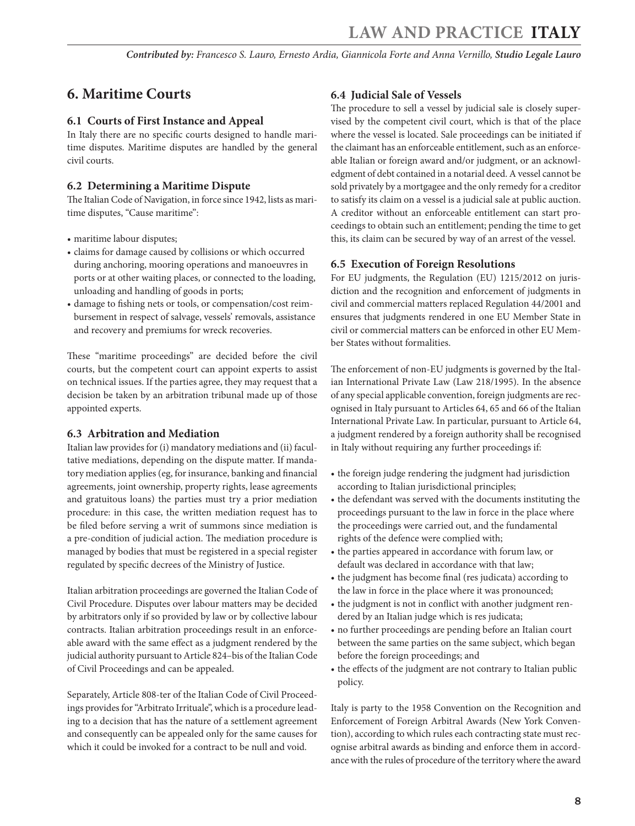# <span id="page-7-0"></span>**6. Maritime Courts**

#### **6.1 Courts of First Instance and Appeal**

In Italy there are no specific courts designed to handle maritime disputes. Maritime disputes are handled by the general civil courts.

#### **6.2 Determining a Maritime Dispute**

The Italian Code of Navigation, in force since 1942, lists as maritime disputes, "Cause maritime":

- maritime labour disputes;
- claims for damage caused by collisions or which occurred during anchoring, mooring operations and manoeuvres in ports or at other waiting places, or connected to the loading, unloading and handling of goods in ports;
- damage to fishing nets or tools, or compensation/cost reimbursement in respect of salvage, vessels' removals, assistance and recovery and premiums for wreck recoveries.

These "maritime proceedings" are decided before the civil courts, but the competent court can appoint experts to assist on technical issues. If the parties agree, they may request that a decision be taken by an arbitration tribunal made up of those appointed experts.

#### **6.3 Arbitration and Mediation**

Italian law provides for (i) mandatory mediations and (ii) facultative mediations, depending on the dispute matter. If mandatory mediation applies (eg, for insurance, banking and financial agreements, joint ownership, property rights, lease agreements and gratuitous loans) the parties must try a prior mediation procedure: in this case, the written mediation request has to be filed before serving a writ of summons since mediation is a pre-condition of judicial action. The mediation procedure is managed by bodies that must be registered in a special register regulated by specific decrees of the Ministry of Justice.

Italian arbitration proceedings are governed the Italian Code of Civil Procedure. Disputes over labour matters may be decided by arbitrators only if so provided by law or by collective labour contracts. Italian arbitration proceedings result in an enforceable award with the same effect as a judgment rendered by the judicial authority pursuant to Article 824–bis of the Italian Code of Civil Proceedings and can be appealed.

Separately, Article 808-ter of the Italian Code of Civil Proceedings provides for "Arbitrato Irrituale", which is a procedure leading to a decision that has the nature of a settlement agreement and consequently can be appealed only for the same causes for which it could be invoked for a contract to be null and void.

#### **6.4 Judicial Sale of Vessels**

The procedure to sell a vessel by judicial sale is closely supervised by the competent civil court, which is that of the place where the vessel is located. Sale proceedings can be initiated if the claimant has an enforceable entitlement, such as an enforceable Italian or foreign award and/or judgment, or an acknowledgment of debt contained in a notarial deed. A vessel cannot be sold privately by a mortgagee and the only remedy for a creditor to satisfy its claim on a vessel is a judicial sale at public auction. A creditor without an enforceable entitlement can start proceedings to obtain such an entitlement; pending the time to get this, its claim can be secured by way of an arrest of the vessel.

#### **6.5 Execution of Foreign Resolutions**

For EU judgments, the Regulation (EU) 1215/2012 on jurisdiction and the recognition and enforcement of judgments in civil and commercial matters replaced Regulation 44/2001 and ensures that judgments rendered in one EU Member State in civil or commercial matters can be enforced in other EU Member States without formalities.

The enforcement of non-EU judgments is governed by the Italian International Private Law (Law 218/1995). In the absence of any special applicable convention, foreign judgments are recognised in Italy pursuant to Articles 64, 65 and 66 of the Italian International Private Law. In particular, pursuant to Article 64, a judgment rendered by a foreign authority shall be recognised in Italy without requiring any further proceedings if:

- the foreign judge rendering the judgment had jurisdiction according to Italian jurisdictional principles;
- the defendant was served with the documents instituting the proceedings pursuant to the law in force in the place where the proceedings were carried out, and the fundamental rights of the defence were complied with;
- the parties appeared in accordance with forum law, or default was declared in accordance with that law;
- the judgment has become final (res judicata) according to the law in force in the place where it was pronounced;
- the judgment is not in conflict with another judgment rendered by an Italian judge which is res judicata;
- no further proceedings are pending before an Italian court between the same parties on the same subject, which began before the foreign proceedings; and
- the effects of the judgment are not contrary to Italian public policy.

Italy is party to the 1958 Convention on the Recognition and Enforcement of Foreign Arbitral Awards (New York Convention), according to which rules each contracting state must recognise arbitral awards as binding and enforce them in accordance with the rules of procedure of the territory where the award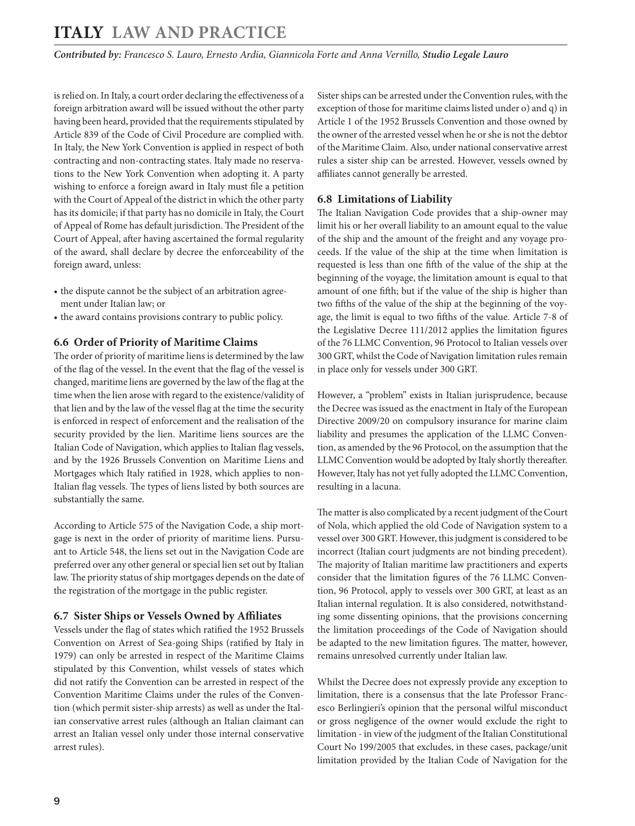<span id="page-8-0"></span>is relied on. In Italy, a court order declaring the effectiveness of a foreign arbitration award will be issued without the other party having been heard, provided that the requirements stipulated by Article 839 of the Code of Civil Procedure are complied with. In Italy, the New York Convention is applied in respect of both contracting and non-contracting states. Italy made no reservations to the New York Convention when adopting it. A party wishing to enforce a foreign award in Italy must file a petition with the Court of Appeal of the district in which the other party has its domicile; if that party has no domicile in Italy, the Court of Appeal of Rome has default jurisdiction. The President of the Court of Appeal, after having ascertained the formal regularity of the award, shall declare by decree the enforceability of the foreign award, unless:

- the dispute cannot be the subject of an arbitration agreement under Italian law; or
- the award contains provisions contrary to public policy.

#### **6.6 Order of Priority of Maritime Claims**

The order of priority of maritime liens is determined by the law of the flag of the vessel. In the event that the flag of the vessel is changed, maritime liens are governed by the law of the flag at the time when the lien arose with regard to the existence/validity of that lien and by the law of the vessel flag at the time the security is enforced in respect of enforcement and the realisation of the security provided by the lien. Maritime liens sources are the Italian Code of Navigation, which applies to Italian flag vessels, and by the 1926 Brussels Convention on Maritime Liens and Mortgages which Italy ratified in 1928, which applies to non-Italian flag vessels. The types of liens listed by both sources are substantially the same.

According to Article 575 of the Navigation Code, a ship mortgage is next in the order of priority of maritime liens. Pursuant to Article 548, the liens set out in the Navigation Code are preferred over any other general or special lien set out by Italian law. The priority status of ship mortgages depends on the date of the registration of the mortgage in the public register.

#### **6.7 Sister Ships or Vessels Owned by Affiliates**

Vessels under the flag of states which ratified the 1952 Brussels Convention on Arrest of Sea-going Ships (ratified by Italy in 1979) can only be arrested in respect of the Maritime Claims stipulated by this Convention, whilst vessels of states which did not ratify the Convention can be arrested in respect of the Convention Maritime Claims under the rules of the Convention (which permit sister-ship arrests) as well as under the Italian conservative arrest rules (although an Italian claimant can arrest an Italian vessel only under those internal conservative arrest rules).

Sister ships can be arrested under the Convention rules, with the exception of those for maritime claims listed under o) and q) in Article 1 of the 1952 Brussels Convention and those owned by the owner of the arrested vessel when he or she is not the debtor of the Maritime Claim. Also, under national conservative arrest rules a sister ship can be arrested. However, vessels owned by affiliates cannot generally be arrested.

#### **6.8 Limitations of Liability**

The Italian Navigation Code provides that a ship-owner may limit his or her overall liability to an amount equal to the value of the ship and the amount of the freight and any voyage proceeds. If the value of the ship at the time when limitation is requested is less than one fifth of the value of the ship at the beginning of the voyage, the limitation amount is equal to that amount of one fifth; but if the value of the ship is higher than two fifths of the value of the ship at the beginning of the voyage, the limit is equal to two fifths of the value. Article 7-8 of the Legislative Decree 111/2012 applies the limitation figures of the 76 LLMC Convention, 96 Protocol to Italian vessels over 300 GRT, whilst the Code of Navigation limitation rules remain in place only for vessels under 300 GRT.

However, a "problem" exists in Italian jurisprudence, because the Decree was issued as the enactment in Italy of the European Directive 2009/20 on compulsory insurance for marine claim liability and presumes the application of the LLMC Convention, as amended by the 96 Protocol, on the assumption that the LLMC Convention would be adopted by Italy shortly thereafter. However, Italy has not yet fully adopted the LLMC Convention, resulting in a lacuna.

The matter is also complicated by a recent judgment of the Court of Nola, which applied the old Code of Navigation system to a vessel over 300 GRT. However, this judgment is considered to be incorrect (Italian court judgments are not binding precedent). The majority of Italian maritime law practitioners and experts consider that the limitation figures of the 76 LLMC Convention, 96 Protocol, apply to vessels over 300 GRT, at least as an Italian internal regulation. It is also considered, notwithstanding some dissenting opinions, that the provisions concerning the limitation proceedings of the Code of Navigation should be adapted to the new limitation figures. The matter, however, remains unresolved currently under Italian law.

Whilst the Decree does not expressly provide any exception to limitation, there is a consensus that the late Professor Francesco Berlingieri's opinion that the personal wilful misconduct or gross negligence of the owner would exclude the right to limitation - in view of the judgment of the Italian Constitutional Court No 199/2005 that excludes, in these cases, package/unit limitation provided by the Italian Code of Navigation for the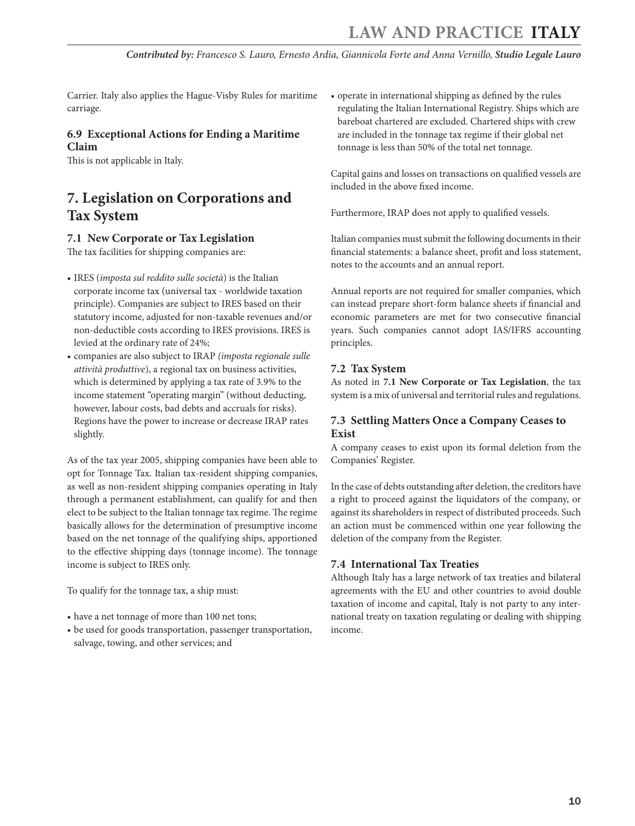<span id="page-9-0"></span>Carrier. Italy also applies the Hague-Visby Rules for maritime carriage.

#### **6.9 Exceptional Actions for Ending a Maritime Claim**

This is not applicable in Italy.

# **7. Legislation on Corporations and Tax System**

#### **7.1 New Corporate or Tax Legislation**

The tax facilities for shipping companies are:

- IRES (*imposta sul reddito sulle società*) is the Italian corporate income tax (universal tax - worldwide taxation principle). Companies are subject to IRES based on their statutory income, adjusted for non-taxable revenues and/or non-deductible costs according to IRES provisions. IRES is levied at the ordinary rate of 24%;
- companies are also subject to IRAP *(imposta regionale sulle attività produttive*), a regional tax on business activities, which is determined by applying a tax rate of 3.9% to the income statement "operating margin" (without deducting, however, labour costs, bad debts and accruals for risks). Regions have the power to increase or decrease IRAP rates slightly.

As of the tax year 2005, shipping companies have been able to opt for Tonnage Tax. Italian tax-resident shipping companies, as well as non-resident shipping companies operating in Italy through a permanent establishment, can qualify for and then elect to be subject to the Italian tonnage tax regime. The regime basically allows for the determination of presumptive income based on the net tonnage of the qualifying ships, apportioned to the effective shipping days (tonnage income). The tonnage income is subject to IRES only.

To qualify for the tonnage tax, a ship must:

- have a net tonnage of more than 100 net tons;
- be used for goods transportation, passenger transportation, salvage, towing, and other services; and

• operate in international shipping as defined by the rules regulating the Italian International Registry. Ships which are bareboat chartered are excluded. Chartered ships with crew are included in the tonnage tax regime if their global net tonnage is less than 50% of the total net tonnage.

Capital gains and losses on transactions on qualified vessels are included in the above fixed income.

Furthermore, IRAP does not apply to qualified vessels.

Italian companies must submit the following documents in their financial statements: a balance sheet, profit and loss statement, notes to the accounts and an annual report.

Annual reports are not required for smaller companies, which can instead prepare short-form balance sheets if financial and economic parameters are met for two consecutive financial years. Such companies cannot adopt IAS/IFRS accounting principles.

#### **7.2 Tax System**

As noted in **7.1 New Corporate or Tax Legislation**, the tax system is a mix of universal and territorial rules and regulations.

#### **7.3 Settling Matters Once a Company Ceases to Exist**

A company ceases to exist upon its formal deletion from the Companies' Register.

In the case of debts outstanding after deletion, the creditors have a right to proceed against the liquidators of the company, or against its shareholders in respect of distributed proceeds. Such an action must be commenced within one year following the deletion of the company from the Register.

#### **7.4 International Tax Treaties**

Although Italy has a large network of tax treaties and bilateral agreements with the EU and other countries to avoid double taxation of income and capital, Italy is not party to any international treaty on taxation regulating or dealing with shipping income.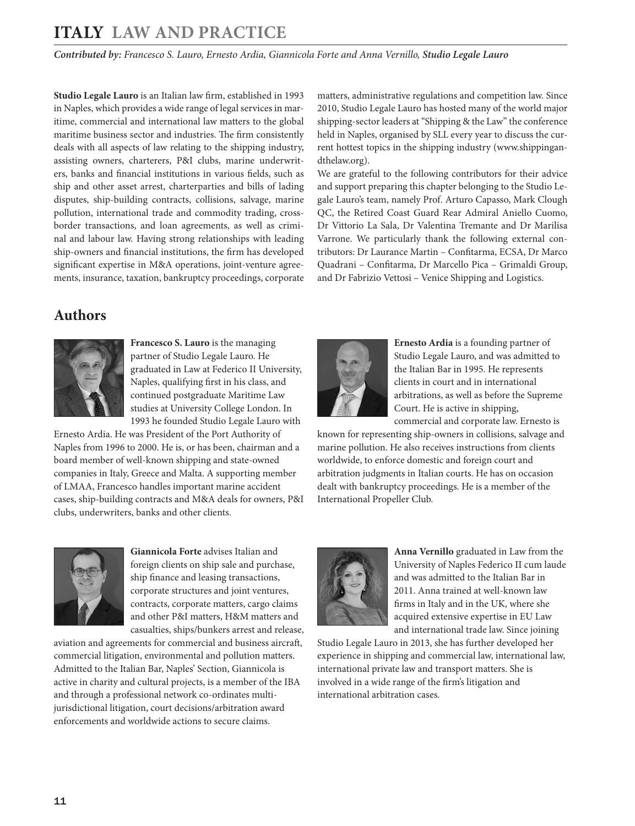*Contributed by: Francesco S. Lauro, Ernesto Ardia, Giannicola Forte and Anna Vernillo, Studio Legale Lauro* 

**Studio Legale Lauro** is an Italian law firm, established in 1993 in Naples, which provides a wide range of legal services in maritime, commercial and international law matters to the global maritime business sector and industries. The firm consistently deals with all aspects of law relating to the shipping industry, assisting owners, charterers, P&I clubs, marine underwriters, banks and financial institutions in various fields, such as ship and other asset arrest, charterparties and bills of lading disputes, ship-building contracts, collisions, salvage, marine pollution, international trade and commodity trading, crossborder transactions, and loan agreements, as well as criminal and labour law. Having strong relationships with leading ship-owners and financial institutions, the firm has developed significant expertise in M&A operations, joint-venture agreements, insurance, taxation, bankruptcy proceedings, corporate matters, administrative regulations and competition law. Since 2010, Studio Legale Lauro has hosted many of the world major shipping-sector leaders at "Shipping & the Law" the conference held in Naples, organised by SLL every year to discuss the current hottest topics in the shipping industry (www.shippingandthelaw.org).

We are grateful to the following contributors for their advice and support preparing this chapter belonging to the Studio Legale Lauro's team, namely Prof. Arturo Capasso, Mark Clough QC, the Retired Coast Guard Rear Admiral Aniello Cuomo, Dr Vittorio La Sala, Dr Valentina Tremante and Dr Marilisa Varrone. We particularly thank the following external contributors: Dr Laurance Martin – Confitarma, ECSA, Dr Marco Quadrani – Confitarma, Dr Marcello Pica – Grimaldi Group, and Dr Fabrizio Vettosi – Venice Shipping and Logistics.

## <span id="page-10-0"></span>**Authors**



**Francesco S. Lauro** is the managing partner of Studio Legale Lauro. He graduated in Law at Federico II University, Naples, qualifying first in his class, and continued postgraduate Maritime Law studies at University College London. In 1993 he founded Studio Legale Lauro with

Ernesto Ardia. He was President of the Port Authority of Naples from 1996 to 2000. He is, or has been, chairman and a board member of well-known shipping and state-owned companies in Italy, Greece and Malta. A supporting member of LMAA, Francesco handles important marine accident cases, ship-building contracts and M&A deals for owners, P&I clubs, underwriters, banks and other clients.



**Ernesto Ardia** is a founding partner of Studio Legale Lauro, and was admitted to the Italian Bar in 1995. He represents clients in court and in international arbitrations, as well as before the Supreme Court. He is active in shipping,

commercial and corporate law. Ernesto is known for representing ship-owners in collisions, salvage and marine pollution. He also receives instructions from clients worldwide, to enforce domestic and foreign court and arbitration judgments in Italian courts. He has on occasion dealt with bankruptcy proceedings. He is a member of the International Propeller Club.



**Giannicola Forte** advises Italian and foreign clients on ship sale and purchase, ship finance and leasing transactions, corporate structures and joint ventures, contracts, corporate matters, cargo claims and other P&I matters, H&M matters and casualties, ships/bunkers arrest and release,

aviation and agreements for commercial and business aircraft, commercial litigation, environmental and pollution matters. Admitted to the Italian Bar, Naples' Section, Giannicola is active in charity and cultural projects, is a member of the IBA and through a professional network co-ordinates multijurisdictional litigation, court decisions/arbitration award enforcements and worldwide actions to secure claims.



**Anna Vernillo** graduated in Law from the University of Naples Federico II cum laude and was admitted to the Italian Bar in 2011. Anna trained at well-known law firms in Italy and in the UK, where she acquired extensive expertise in EU Law and international trade law. Since joining

Studio Legale Lauro in 2013, she has further developed her experience in shipping and commercial law, international law, international private law and transport matters. She is involved in a wide range of the firm's litigation and international arbitration cases.